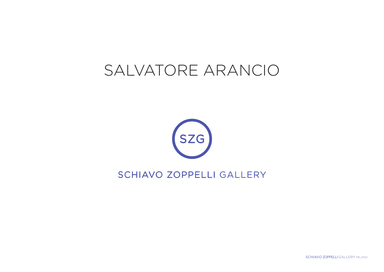# SALVATORE ARANCIO



### SCHIAVO ZOPPELLI GALLERY

SCHIAVO ZOPPELLI GALLERY MILANO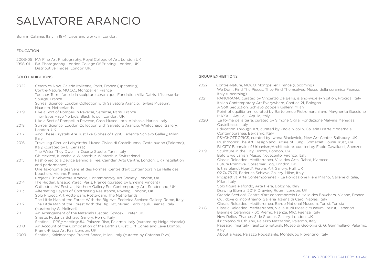## SALVATORE ARANCIO

Born in Catania, Italy in 1974. Lives and works in London.

#### EDUCATION

- 2003-05 MA Fine Art Photography, Royal College of Art, London UK
- 1998-01 BA Photography, London College Of Printing, London, UK Distributive Trades, London UK

#### SOLO EXHIBITIONS

| 2022 | Ceramics Now, Galerie Italienne, Paris, France (upcoming)<br>Contre-Nature, MO.CO., Montpellier, France                                                                 |
|------|-------------------------------------------------------------------------------------------------------------------------------------------------------------------------|
|      | Toucher Terre: l'art de la sculpture céramique, Fondation Villa Datris, L'Isle-sur-la-<br>Sourge, France                                                                |
|      | Surreal Science: Loudon Collection with Salvatore Arancio, Teylers Museum,<br>Haarlem, Netherlands                                                                      |
| 2019 | Like a Sort of Pompeii in Reverse, Semiose, Paris, France<br>Their Eyes Have No Lids, Black Tower, London, UK                                                           |
|      | Like a Sort of Pompeii in Reverse, Casa Museo Jorn, Albissola Marina, Italy                                                                                             |
| 2018 | Surreal Science: Loudon Collection with Salvatore Arancio, Whitechapel Gallery,<br>London, UK                                                                           |
| 2017 | And These Crystals Are Just like Globes of Light, Federica Schiavo Gallery, Milan,<br>Italy                                                                             |
| 2016 | Travelling Circular Labyrinths, Museo Civico di Castelbuono, Castelbuono (Palermo),<br>Italy, (curated by L. Cerizza)                                                   |
|      | The Water They Dwell In, Quartz Studio, Turin, Italy                                                                                                                    |
|      | Oh Mexico!, Kunsthalle Winterthur, Winterthur, Switzerland                                                                                                              |
| 2015 | Fashioned to a Device Behind a Tree, Camden Arts Centre, London, UK (installation<br>and performance)                                                                   |
|      | Une Taxonomie des Sens et des Formes, Centre d'art contemporain La Halle des<br>bouchers, Vienne, France                                                                |
|      | Project 09: Salvatore Arancio, Contemporary Art Society, London, UK                                                                                                     |
| 2014 | The Hidden, Ensapc Ygrec, Paris, France (curated by Emeline Vincent)<br>Cathedral, AV Festival, Nothern Gallery For Contemporary Art, Sunderland, UK                    |
| 2013 | Alternating Layers of Contrasting Resistance, Rowing, London, UK                                                                                                        |
|      | Solo Project, Art Rotterdam, Rotterdam, The Netherlands                                                                                                                 |
| 2012 | The Little Man of the Forest With the Big Hat, Federica Schiavo Gallery, Rome, Italy<br>The Little Man of the Forest With the Big Hat, Museo Carlo Zauli, Faenza, Italy |
|      | (curated by G. Molinari)                                                                                                                                                |
| 2011 | An Arrangement of the Materials Ejected, Spacex, Exeter, UK                                                                                                             |
|      | Shasta, Federica Schiavo Gallery, Rome, Italy                                                                                                                           |
|      | Sentinel - PPS//Meetings#4, Palazzo Riso, Palermo, Italy (curated by Helga Marsala)                                                                                     |
| 2010 | An Account of the Composition of the Earth's Crust: Dirt Cones and Lava Bombs,<br>Frame-Frieze Art Fair, London, UK                                                     |
| 2009 | Sentinel, Kaleidoscope Project Space, Milan, Italy (curated by Caterina Riva)                                                                                           |

#### GROUP EXHIBITIONS

| 2022 | Contre-Nature, MOCO, Montpellier, France (upcoming)<br>We Don't Find The Pieces, They Find Themselves, Museo della ceramica Faenza,                                                                                                                                                                                                                             |
|------|-----------------------------------------------------------------------------------------------------------------------------------------------------------------------------------------------------------------------------------------------------------------------------------------------------------------------------------------------------------------|
| 2021 | Italy (upcoming)<br>PANORAMA, curated by Vincenzo De Bellis, island-wide exhibition, Procida, Italy<br>Italian Contemporary Art Everywhere, Cantica 21, Bologna<br>A Soft Seduction, Schiavo Zoppelli Gallery, Milan                                                                                                                                            |
|      | Point of equilibrium, curated by Bartolomeo Pietromarchi and Margherita Guccione,<br>MAXXI L'Aquila, L'Aquila, Italy                                                                                                                                                                                                                                            |
| 2020 | La forma della terra, curated by Simone Ciglia, Fondazione Malvina Menegaz,<br>Castelbasso, Italy                                                                                                                                                                                                                                                               |
|      | Education Through Art, curated by Paola Nicolin, Galleria D'Arte Moderna e<br>Contemporanea, Bergamo, Italy                                                                                                                                                                                                                                                     |
|      | PSYCHOTROPICS, curated by Iwona Blackwick,, New Art Center, Salisbury, UK<br>Mushrooms: The Art, Design and Future of Fungi, Somerset House Trust, UK<br>BI-CITY Biennale of Urbanism/Architecture, curated by Fabio Cavallucci, Shenzen                                                                                                                        |
| 2019 | Sculpture in the City, Hiscox, London, UK<br>Before we vanish, Museo Novecento, Firenze, Italy                                                                                                                                                                                                                                                                  |
|      | Classic Reloaded. Mediterranea, Villa des Arts, Rabat, Marocco                                                                                                                                                                                                                                                                                                  |
|      | Future Primitive, Gossamer Fog, London, UK<br>Is this planet Heart?, Ferens Art Gallery, Hull, UK                                                                                                                                                                                                                                                               |
|      | 02.74.75.76, Federica Schiavo Gallery, Milan, Italy                                                                                                                                                                                                                                                                                                             |
|      | Prospettiva Arte Contemporanea - La Fondazione Fiera Milano, Gallerie d'Italia,<br>Milan, Italy                                                                                                                                                                                                                                                                 |
|      | Solo figura e sfondo, Arte Fiera, Bologna, Itlay                                                                                                                                                                                                                                                                                                                |
| 2018 | Drawing Biennal 2019, Drawing Room, London, UK<br>Grande Section!, Centre d'art contemporein La Halle des Bouchers, Vienne, France<br>Qui, dove ci incontriamo, Galleria Tiziana di Caro, Naples, Italy<br>Classic Reloaded. Mediterranea, Bardo National Museum, Tunisi, Tunisia<br>Classic Reloaded. Mediterranea, Vialla Audi Mosaic Museum, Beirut, Lebanon |
|      | Biennale Ceramica - 60 Premio Faenza, MIC, Faenza, Italy<br>New Relics, Thames-Side Studios Gallery, London, UK                                                                                                                                                                                                                                                 |
|      | Il richiamo di Cthulhu, Palazzo Mazzarino, Palermo, Italy<br>Paesaggi mentali/Traiettorie naturali, Museo di Geologia G. G. Gemmellaro, Palermo,<br>Italy                                                                                                                                                                                                       |
|      | About a Vase, Palazzo Podestarile, Montelupo Fiorentino, Italy                                                                                                                                                                                                                                                                                                  |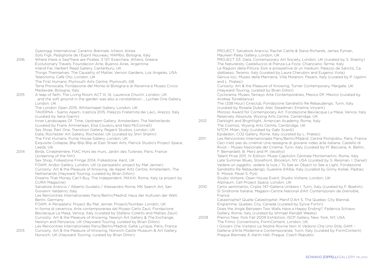Gyeonggi International, Ceramic Biennale, Icheon, Korea Solo Figli, Padiglione de l'Esprit Nouveau, MAMbo, Bologna, Italy 2016 Where there is SeaThere are Pirates, 3 137, Exarcheia, Athens, Greece Evolutionary Travels, Foundacion Arte, Buenos Aires, Argentina Inland Far, Herbert Read Gallery, Canterbury, UK Things Themselves: The Causality of Matter, Vernon Gardens, Los Angeles, USA Teleonomy, Cafè Oto, London, UK The First Humans, Plymouth Arts Centre, Plymouth, GB Terra Provocata, Fondazione del Monte di Bologna e di Ravenna e Museo Civico Medievale, Bologna, Italy 2015 A leap of faith, The Living Room ACT III, St. Laurence Church, London, UK …and the soft ground in the garden was also a constellation…, Lychee One Gallery, London, UK The London Open 2015, Whitechapel Gallery, London, UK TAVERNA - Siamo Aperti, Icastica 2015, Palazzo Fraternita dei Laici, Arezzo, Italy (curated by Ilaria Gianni) Inner Landscapes Of Time, Upstream Gallery, Amsterdam, The Netherlands (curated by Frank Ammerlaan, Elsa Coustou and Ned McConnell) Sex Shop: Part One, Transition Gallery, Regent Studios, London, UK Data, Rochester Art Gallery, Rochester, UK (curated by Shiri Shalmi) The First Humans, Pump House Gallery, London, UK Exquisite Collapse, Blip Blip Blip at East Street Arts, Patrick Studio's Project Space, Leeds, UK 2014 Birds, Cinéphémère, FIAC Hors les murs, Jardin des Tuileries, Paris, France (screening of the film) Sex Shop, Folkestone Fringe 2014, Folkestone, Kent, UK FOAM, Andor Gallery, London, UK (a peripatetic project by Mat Jenner) Curiosity: Art & the Pleasure of Knowing, de Appel Arts Centre, Amsterdam, The Netherlands (Hayward Touring, curated by Brian Dillon) Dreams That Money Can't Buy, The Independent, MAXXI, Roma, Italy (a project by CURA Magazine) Salvatore Arancio / Alberto Guidato / Alessandro Roma, MK Search Art, San Giovanni Valdarno, Italy Les Rencontres Internationales Paris/Berlin/Madrid, Haus der Kulturen der Welt, Berlin, Germany FOAM, A Peripatetic Project By Mat Jenner, Project/Number, London, UK In forma di ceramica, Arte contemporanea dal Museo Carlo Zauli, Fondazione Bevilacqua La Masa, Venice, Italy (curated by Stefano Coletto and Matteo Zauli) Curiosity: Art & the Pleasure of Knowing, Newlyn Art Gallery & The Exchange, Newlyn and Penzance, UK (Hayward Touring, curated by Brian Dillon) Les Rencontres Internationales Paris/Berlin/Madrid, Gaîté Lyrique, Paris, France 2013 Curiosity: Art & the Pleasure of Knowing, Norwich Castle Museum & Art Gallery, Norwich, UK (Hayward Touring, curated by Brian Dillon)

PROJECT: Salvatore Arancio, Rachel Cattle & Steve Richards, James Pyman, Maureen Paley Gallery, London, UK PROJECT 03: Data, Contemporary Art Society, London, UK (curated by S. Shalmy) The Naturalists, Castelluccio di Pienza-La Foce, Chianciano Terme, Italy Le Ragioni della Pittura. Esiti e prospettive di un medium, Palazzo de Sanctis, Ca stelbasso, Teramo, Italy (curated by Laura Cherubini and Eugenio Viola) Genius loci, Museo della Marineria, Villa Molaroni, Pesaro, Italy (curated by P. Ugolini and L. Pratesi) Curiosity: Art & the Pleasure of Knowing, Turner Contemporary, Margate, UK (Hayward Touring, curated by Brian Dillon) Cyclorama, Museo Tamayo Arte Contemporáneo, Mexico DF, Mexico (curated by Andrea Torreblanca) The (338 Hour) Cineclub, Fondazione Sandretto Re Rebaudengo, Turin, Italy (curated by Rosalie Dubal, Alec Steadman, Emeline Vincent) Moroso Award for Contemporary Art, Fondazione Bevilacqua La Masa, Venice, Italy Relatively Absolute, Wysing Arts Centre, Cambridge, UK 2012 Darklight and Brightlight, American Academy, Rome, Italy The Cosmos, Wysing Arts Centre, Cambridge, UK NTCM, Milan, Italy (curated by Gabi Scardi) Epidedon, CO2 Gallery, Rome, Italy (curated by L. Pratesi) 2011 Les Rencontres Internationales Paris/Berlin/Madrid, Centre Pompidou, Paris, France Ceci n'est pas du cinéma! Una rassegna di giovane video arte italiana, Castello di

Rivoli – Museo Nazionale del Cinema, Turin, Italy (curated by M. Beccaria, A. Bellini, F. Bernardelli, B. Merz and M. Vecellio) Talent Prize 2011, IV Edition, Musei Capitolini Centrale Montemartini, Rome, Italy

Late Summer Blues, Storefront, Brooklyn, NY, USA (curated by S. Reisman, I. Daniel) Vedere un oggetto, vedere la luce / To See an Object to See a Light, Fondazione Sandretto Re Rebaudengo, Guarene d'Alba, Italy (curated by Ginny Kollak, Padraic E. Moore, Pavel S. Pyś)

Studio Voltaire: Open House Event, Studio Voltaire, London, UK Alptraum, Cell Project Space, London, UK

2010 Certo sentimento, Cripta 747-Galleria Umbero I, Turin, Italy (curated by F. Boehm) SI Sindrome Italiana, Magasin-Centre National d'Art Contemporain de Grenoble, France

Catastrophe? Quelle Catastrophe!, Manif D'Art 5, The Quebec City Biennal, Engramme, Quebec City, Canada (curated by Sylvie Fortin) Does the Angle Between Two Walls Have a Happy Ending?, Federica Schiavo Gallery, Rome, Italy (curated by Ishmael Randall Weeks)

2009 Premio New York Fall 2009 Exhibition, ISCP Gallery, New York, NY, USA The Filmic Conventions, FormContent, London, UK I Giovani Che Visitano Le Nostre Rovine Non Vi Vedono Che Uno Stile, GAM - Galleria d'Arte Moderna e Contemporanea, Turin, Italy (curated by FormContent) Prague Biennale 4, Karlin Hall, Prague, Czech Republic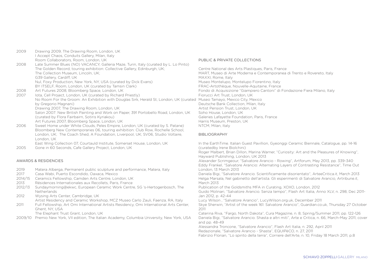2009 Drawing 2009, The Drawing Room, London, UK I Accept Chaos, Conduits Gallery, Milan, Italy Room Collaborators, Room, London, UK 2008 Late Summer Blues (NO) VACANCY, Galleria Maze, Turin, Italy (curated by L. Lo Pinto) The Golden Record, touring exhibition: Collective Gallery, Edinburgh, UK; The Collection Museum, Lincoln, UK; G39 Gallery, Cardiff, UK Nul, Foxy Production, New York, NY, USA (curated by Dick Evans) BY ITSELF, Room, London, UK (curated by Tamsin Clark) 2008 Art Futures 2008, Bloomberg Space, London, UK 2007 Iota, Cell Project, London, UK (curated by Richard Priestly) No Room For the Groom: An Exhibition with Douglas Sirk, Herald St, London, UK (curated Museo Tamayo, Mexico City, Mexico by Gregorio Magnani) Drawing 2007, The Drawing Room, London, UK Salon 2007: New British Painting and Work on Paper, 391 Portobello Road, London, UK (curated by Flora Fairbairn, Sotiris Kyriakou) Art Futures 2007, Bloomberg Space, London, UK 2006 Sweet Home under White Clouds, Peles Empire, London, UK (curated by S. Patane) Bloomberg New Contemporaries 06, touring exhibition: Club Row, Rochelle School, London, UK; The Coach Shed, A Foundation, Liverpool, UK; SV06, Studio Voltaire, London, UK East Wing Collection 07, Courtauld Institute, Somerset House, London, UK

2005 Gone in 60 Seconds, Cafe Gallery Project, London, UK

#### AWARDS & RESIDENCIES

- 2019 Matera Alberga, Permanent public sculpture and performance, Matera, Italy<br>2017 Casa Wabi, Puerto Escondido, Oaxaca, Mexico
- 2017 Casa Wabi, Puerto Escondido, Oaxaca, Mexico
- 2014/15 Ceramics Fellowship, Camden Arts Centre, London, UK
- 2013 Résidences Internationales aux Recollets, Paris, France
- 2012/13 Sundaymorning@ekwc, European Ceramic Work Centre, SG 's-Hertogenbosch, The Netherlands
- 2012 Wysing Arts Center, Cambridge, UK Artist Residency and Ceramic Workshop, MCZ Museo Carlo Zauli, Faenza, RA, Italy
- 2011 Full Fellowship, Art Omi International Artists Residency, Omi International Arts Center, Ghent, NY, USA
	- The Elephant Trust Grant, London, UK
- 2009/10 Premio New York, VII edition, The Italian Academy, Columbia University, New York, USA

#### PUBLIC & PRIVATE COLLECTIONS

Centre National des Arts Plastiques, Paris, France MART, Museo di Arte Moderna e Contemporanea di Trento e Rovereto, Italy MAXXI, Rome, Italy Museo Montelupo, Montelupo Fiorentino, Italy FRAC-Artothèque, Nouvelle-Aquitaine, France Fondo di Acquisizione "Giampiero Cantoni" di Fondazione Fiera Milano, Italy Fiorucci Art Trust, London, UK Deutsche Bank Collection, Milan, Italy Artist Pension Trust, London, UK Soho House, London, UK Galeries Lafayette Foundation, Paris, France Harris Museum, Preston, UK NTCM, Milan, Italy

#### BIBLIOGRAPHY

In the EarthTime. Italian Guest Pavillion, Gyeonggi Ceramic Biennale, Catalogue, pp. 14-16 (curatedby Irene Biolchini) Roger Malbert, Brian Dillon, Marina Warner, "Curiosity: Art and the Pleasures of Knowing", Hayward Publishing, London, UK 2013 Alexander Scrimgeour, "Salvatore Arancio - Rowing", Artforum, May 2013, pp. 339-340 Eddy Frankel, "Salvatore Arancio: Alternating Layers of Contrasting Resistance", Time Out London, 13 March 2013 Daniela Bigi, "Salvatore Arancio. Scientificamente disorientato", ArteeCritica.it, March 2013 Helga Marsala, Nel gabinetto dell'artista. Gli esperimenti di Salvatore Arancio, Artribune.it, March 2013 Publication of the Goldsmiths MFA in Curating, XOXO, London, 2012 Guido Molinari, "Salvatore Arancio. Senza tempo", Flash Art Italia, Anno XLV, n. 298, Dec 2011- Jan 2012, p. 42-44 Lucy Wilson , "Salvatore Arancio", LucyWilson.org.uk, December 2011 Skye Sherwin, "Artist of the week 161: Salvatore Arancio", Guardian.co.uk, Thursday 27 October 2011 Caterina Riva, "Fargo, North Dakota", Cura Magazine, n. 8, Spring/Summer 2011, pp. 122-126 Daniela Bigi, "Salvatore Arancio. Shasta e altri miti", Arte e Critica, n. 66, March-May 2011, cover and pp. 48-49 Alessandra Troncone, "Salvatore Arancio", Flash Art Italia, n. 292, April 2011 Redazionale, "Salvatore Arancio - Shasta", EQUIPèCO, n. 27, 2011

Fabrizio Florian, "Lo spirito della terra", Corriere dell'Arte, n. 10, Friday 18 March 2011, p.8